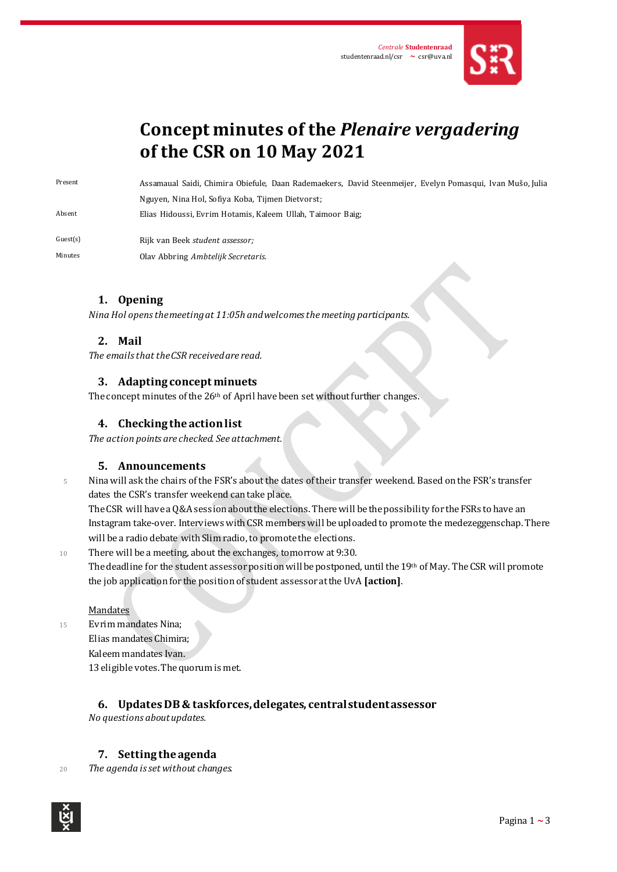

# **Concept minutes of the** *Plenaire vergadering* **of the CSR on 10 May 2021**

Present Assamaual Saidi, Chimira Obiefule, Daan Rademaekers, David Steenmeijer, Evelyn Pomasqui, Ivan Mušo, Julia Nguyen, Nina Hol, Sofiya Koba, Tijmen Dietvorst;

Absent Elias Hidoussi, Evrim Hotamis, Kaleem Ullah, Taimoor Baig;

Guest(s) Rijk van Beek *student assessor;*

Minutes Olav Abbring *Ambtelijk Secretaris*.

## **1. Opening**

*Nina Hol opens the meeting at 11:05h and welcomes the meeting participants.* 

## **2. Mail**

*The emails that the CSR received are read.*

## **3. Adapting concept minuets**

The concept minutes of the 26<sup>th</sup> of April have been set without further changes.

## **4. Checking the action list**

*The action points are checked. See attachment.*

## **5. Announcements**

<sup>5</sup> Nina will ask the chairs of the FSR's about the dates of their transfer weekend. Based on the FSR's transfer dates the CSR's transfer weekend can take place.

The CSR will have a Q&A session about the elections. There will be the possibility for the FSRs to have an Instagram take-over. Interviews with CSR members will be uploaded to promote the medezeggenschap. There will be a radio debate with Slim radio, to promote the elections.

<sup>10</sup> There will be a meeting, about the exchanges, tomorrow at 9:30. The deadline for the student assessor position will be postponed, until the 19th of May. TheCSR will promote the job application for the position of student assessor at the UvA [action].

#### Mandates

<sup>15</sup> Evrim mandates Nina; Elias mandates Chimira; Kaleem mandates Ivan. 13eligible votes. The quorum is met.

## **6. Updates DB & taskforces, delegates, central student assessor**

*No questions about updates.*

## **7. Setting the agenda**

<sup>20</sup> *The agenda is set without changes.*

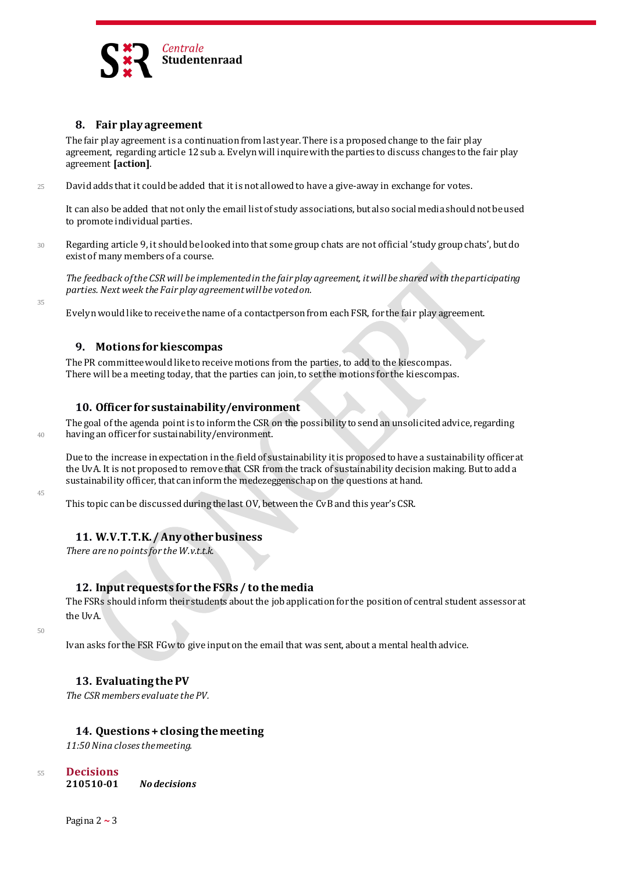

## **8. Fair play agreement**

The fair play agreement is a continuation from last year. There is a proposed change to the fair play agreement, regarding article 12 sub a. Evelyn will inquirewith the parties to discuss changes to the fair play agreement **[action]**.

<sup>25</sup> David adds that it could be added that it is not allowed to have a give-away in exchange for votes.

It can also be added that not only the email list of study associations, but also social media should not be used to promote individual parties.

<sup>30</sup> Regarding article 9, it should be looked into that some group chats are not official 'study group chats', but do exist of many members of a course.

*The feedback of the CSR will be implemented in the fair play agreement, it will be shared with the participating parties. Next week the Fair play agreement will be voted on.*

Evelyn would like to receive the name of a contactperson from each FSR, for the fair play agreement.

## **9. Motions for kiescompas**

The PR committee would like to receive motions from the parties, to add to the kiescompas. There will be a meeting today, that the parties can join, to set the motions for the kiescompas.

## **10. Officer for sustainability/environment**

The goal of the agenda point is to inform the CSR on the possibility to send an unsolicited advice, regarding <sup>40</sup> having an officer for sustainability/environment.

Due to the increase in expectation in the field of sustainability it is proposed to have a sustainability officer at the UvA. It is not proposed to remove that CSR from the track of sustainability decision making. But to add a sustainability officer, that can inform the medezeggenschap on the questions at hand.

This topic can be discussed during the last OV, between the CvB and this year's CSR.

## **11. W.V.T.T.K. / Any other business**

*There are no points for the W.v.t.t.k.*

## **12. Input requests for the FSRs / to the media**

The FSRs should inform their students about the job application for the position of central student assessor at the UvA.

50

45

35

Ivan asks for the FSR FGw to give input on the email that was sent, about a mental health advice.

## **13. Evaluating the PV**

*The CSR members evaluate the PV.*

## **14. Questions + closing the meeting**

*11:50 Nina closesthe meeting.*

- <sup>55</sup> **Decisions 210510-01** *No decisions*
	- Pagina 2 **~** 3